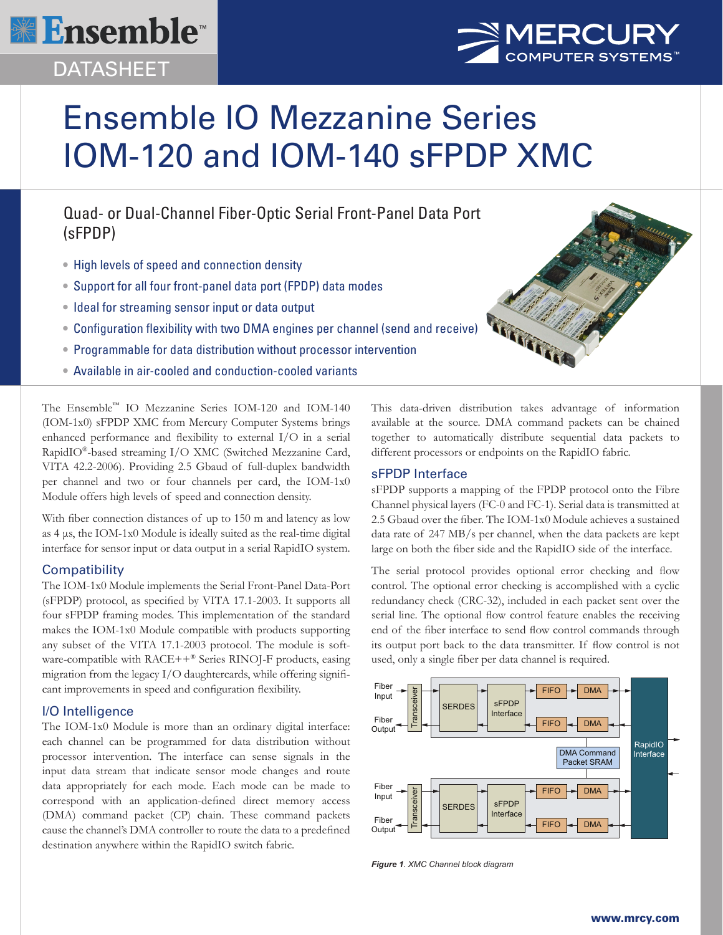

# DATASHEET



# Ensemble IO Mezzanine Series IOM-120 and IOM-140 sFPDP XMC

Quad- or Dual-Channel Fiber-Optic Serial Front-Panel Data Port (sFPDP)

- High levels of speed and connection density
- Support for all four front-panel data port (FPDP) data modes
- Ideal for streaming sensor input or data output
- Configuration flexibility with two DMA engines per channel (send and receive)
- Programmable for data distribution without processor intervention
- Available in air-cooled and conduction-cooled variants

The Ensemble™ IO Mezzanine Series IOM-120 and IOM-140 (IOM-1x0) sFPDP XMC from Mercury Computer Systems brings enhanced performance and flexibility to external I/O in a serial RapidIO®-based streaming I/O XMC (Switched Mezzanine Card, VITA 42.2-2006). Providing 2.5 Gbaud of full-duplex bandwidth per channel and two or four channels per card, the IOM-1x0 Module offers high levels of speed and connection density.

With fiber connection distances of up to 150 m and latency as low as 4 μs, the IOM-1x0 Module is ideally suited as the real-time digital interface for sensor input or data output in a serial RapidIO system.

#### **Compatibility**

The IOM-1x0 Module implements the Serial Front-Panel Data-Port (sFPDP) protocol, as specified by VITA 17.1-2003. It supports all four sFPDP framing modes. This implementation of the standard makes the IOM-1x0 Module compatible with products supporting any subset of the VITA 17.1-2003 protocol. The module is software-compatible with RACE++® Series RINOJ-F products, easing migration from the legacy I/O daughtercards, while offering significant improvements in speed and configuration flexibility.

# I/O Intelligence

The IOM-1x0 Module is more than an ordinary digital interface: each channel can be programmed for data distribution without processor intervention. The interface can sense signals in the input data stream that indicate sensor mode changes and route data appropriately for each mode. Each mode can be made to correspond with an application-defined direct memory access (DMA) command packet (CP) chain. These command packets cause the channel's DMA controller to route the data to a predefined destination anywhere within the RapidIO switch fabric.

This data-driven distribution takes advantage of information available at the source. DMA command packets can be chained together to automatically distribute sequential data packets to different processors or endpoints on the RapidIO fabric.

## sFPDP Interface

sFPDP supports a mapping of the FPDP protocol onto the Fibre Channel physical layers (FC-0 and FC-1). Serial data is transmitted at 2.5 Gbaud over the fiber. The IOM-1x0 Module achieves a sustained data rate of 247 MB/s per channel, when the data packets are kept large on both the fiber side and the RapidIO side of the interface.

The serial protocol provides optional error checking and flow control. The optional error checking is accomplished with a cyclic redundancy check (CRC-32), included in each packet sent over the serial line. The optional flow control feature enables the receiving end of the fiber interface to send flow control commands through its output port back to the data transmitter. If flow control is not used, only a single fiber per data channel is required.



*Figure 1. XMC Channel block diagram*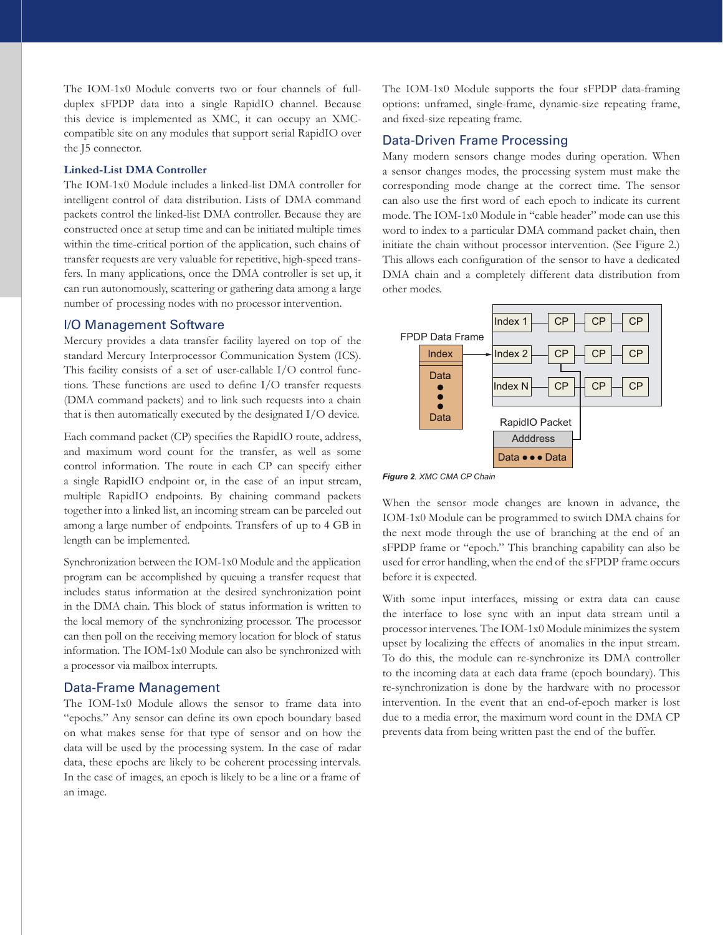The IOM-1x0 Module converts two or four channels of fullduplex sFPDP data into a single RapidIO channel. Because this device is implemented as XMC, it can occupy an XMCcompatible site on any modules that support serial RapidIO over the J5 connector.

#### **Linked-List DMA Controller**

The IOM-1x0 Module includes a linked-list DMA controller for intelligent control of data distribution. Lists of DMA command packets control the linked-list DMA controller. Because they are constructed once at setup time and can be initiated multiple times within the time-critical portion of the application, such chains of transfer requests are very valuable for repetitive, high-speed transfers. In many applications, once the DMA controller is set up, it can run autonomously, scattering or gathering data among a large number of processing nodes with no processor intervention.

#### I/O Management Software

Mercury provides a data transfer facility layered on top of the standard Mercury Interprocessor Communication System (ICS). This facility consists of a set of user-callable I/O control functions. These functions are used to define I/O transfer requests (DMA command packets) and to link such requests into a chain that is then automatically executed by the designated I/O device.

Each command packet (CP) specifies the RapidIO route, address, and maximum word count for the transfer, as well as some control information. The route in each CP can specify either a single RapidIO endpoint or, in the case of an input stream, multiple RapidIO endpoints. By chaining command packets together into a linked list, an incoming stream can be parceled out among a large number of endpoints. Transfers of up to 4 GB in length can be implemented.

Synchronization between the IOM-1x0 Module and the application program can be accomplished by queuing a transfer request that includes status information at the desired synchronization point in the DMA chain. This block of status information is written to the local memory of the synchronizing processor. The processor can then poll on the receiving memory location for block of status information. The IOM-1x0 Module can also be synchronized with a processor via mailbox interrupts.

#### Data-Frame Management

The IOM-1x0 Module allows the sensor to frame data into "epochs." Any sensor can define its own epoch boundary based on what makes sense for that type of sensor and on how the data will be used by the processing system. In the case of radar data, these epochs are likely to be coherent processing intervals. In the case of images, an epoch is likely to be a line or a frame of an image.

The IOM-1x0 Module supports the four sFPDP data-framing options: unframed, single-frame, dynamic-size repeating frame, and fixed-size repeating frame.

# Data-Driven Frame Processing

Many modern sensors change modes during operation. When a sensor changes modes, the processing system must make the corresponding mode change at the correct time. The sensor can also use the first word of each epoch to indicate its current mode. The IOM-1x0 Module in "cable header" mode can use this word to index to a particular DMA command packet chain, then initiate the chain without processor intervention. (See Figure 2.) This allows each configuration of the sensor to have a dedicated DMA chain and a completely different data distribution from other modes.



*Figure 2. XMC CMA CP Chain*

When the sensor mode changes are known in advance, the IOM-1x0 Module can be programmed to switch DMA chains for the next mode through the use of branching at the end of an sFPDP frame or "epoch." This branching capability can also be used for error handling, when the end of the sFPDP frame occurs before it is expected.

With some input interfaces, missing or extra data can cause the interface to lose sync with an input data stream until a processor intervenes. The IOM-1x0 Module minimizes the system upset by localizing the effects of anomalies in the input stream. To do this, the module can re-synchronize its DMA controller to the incoming data at each data frame (epoch boundary). This re-synchronization is done by the hardware with no processor intervention. In the event that an end-of-epoch marker is lost due to a media error, the maximum word count in the DMA CP prevents data from being written past the end of the buffer.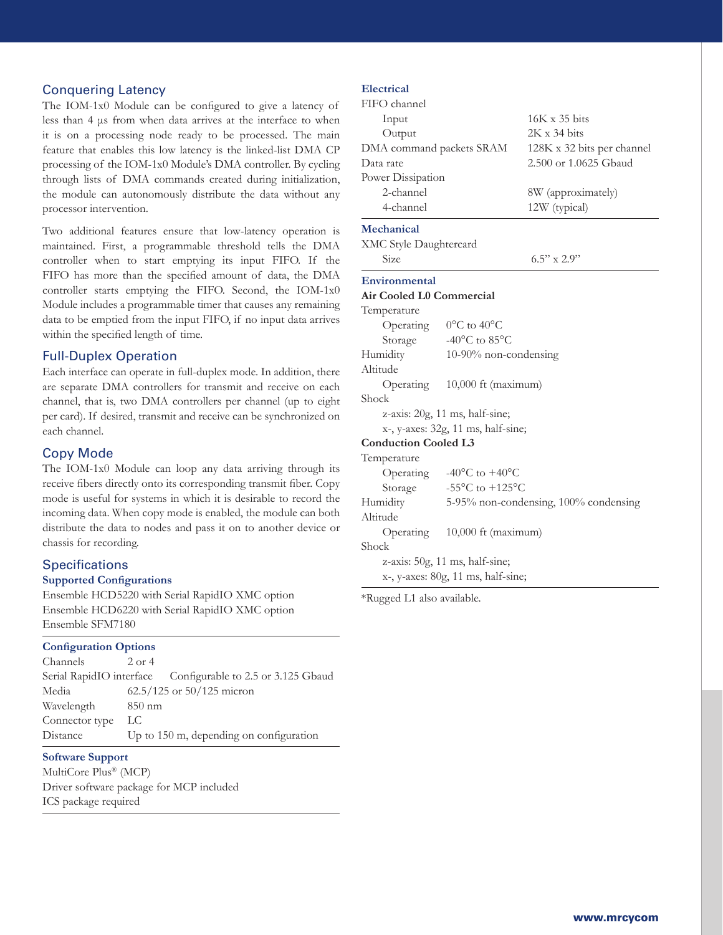#### Conquering Latency

The IOM-1x0 Module can be configured to give a latency of less than 4 μs from when data arrives at the interface to when it is on a processing node ready to be processed. The main feature that enables this low latency is the linked-list DMA CP processing of the IOM-1x0 Module's DMA controller. By cycling through lists of DMA commands created during initialization, the module can autonomously distribute the data without any processor intervention.

Two additional features ensure that low-latency operation is maintained. First, a programmable threshold tells the DMA controller when to start emptying its input FIFO. If the FIFO has more than the specified amount of data, the DMA controller starts emptying the FIFO. Second, the IOM-1x0 Module includes a programmable timer that causes any remaining data to be emptied from the input FIFO, if no input data arrives within the specified length of time.

## Full-Duplex Operation

Each interface can operate in full-duplex mode. In addition, there are separate DMA controllers for transmit and receive on each channel, that is, two DMA controllers per channel (up to eight per card). If desired, transmit and receive can be synchronized on each channel.

## Copy Mode

The IOM-1x0 Module can loop any data arriving through its receive fibers directly onto its corresponding transmit fiber. Copy mode is useful for systems in which it is desirable to record the incoming data. When copy mode is enabled, the module can both distribute the data to nodes and pass it on to another device or chassis for recording.

# **Specifications**

#### **Supported Configurations**

Ensemble HCD5220 with Serial RapidIO XMC option Ensemble HCD6220 with Serial RapidIO XMC option Ensemble SFM7180

#### **Configuration Options**

| Channels       | $2$ or $4$                                                  |  |  |
|----------------|-------------------------------------------------------------|--|--|
|                | Serial RapidIO interface Configurable to 2.5 or 3.125 Gbaud |  |  |
| Media          | $62.5/125$ or $50/125$ micron                               |  |  |
| Wavelength     | $850$ nm                                                    |  |  |
| Connector type | LC.                                                         |  |  |
| Distance       | Up to 150 m, depending on configuration                     |  |  |

#### **Software Support**

MultiCore Plus® (MCP) Driver software package for MCP included ICS package required

#### **Electrical**

| FIFO channel                  |                                              |                            |  |
|-------------------------------|----------------------------------------------|----------------------------|--|
| Input                         |                                              | 16K x 35 bits              |  |
| Output                        |                                              | $2K \times 34$ bits        |  |
| DMA command packets SRAM      |                                              | 128K x 32 bits per channel |  |
| Data rate                     |                                              | 2.500 or 1.0625 Gbaud      |  |
| Power Dissipation             |                                              |                            |  |
| 2-channel                     |                                              | 8W (approximately)         |  |
| 4-channel                     |                                              | 12W (typical)              |  |
| Mechanical                    |                                              |                            |  |
| <b>XMC Style Daughtercard</b> |                                              |                            |  |
| Size                          |                                              | $6.5$ " x $2.9$ "          |  |
| Environmental                 |                                              |                            |  |
| Air Cooled L0 Commercial      |                                              |                            |  |
| Temperature                   |                                              |                            |  |
|                               | Operating $0^{\circ}$ C to 40°C              |                            |  |
| Storage                       | -40°C to 85°C                                |                            |  |
| Humidity                      | 10-90% non-condensing                        |                            |  |
| Altitude                      |                                              |                            |  |
|                               | Operating 10,000 ft (maximum)                |                            |  |
| Shock                         |                                              |                            |  |
|                               | z-axis: 20g, 11 ms, half-sine;               |                            |  |
|                               | x-, y-axes: 32g, 11 ms, half-sine;           |                            |  |
| <b>Conduction Cooled L3</b>   |                                              |                            |  |
| Temperature                   |                                              |                            |  |
|                               | Operating $-40^{\circ}$ C to $+40^{\circ}$ C |                            |  |
| Storage                       | -55 $^{\circ}$ C to +125 $^{\circ}$ C        |                            |  |
| Humidity                      | 5-95% non-condensing, 100% condensing        |                            |  |
| Altitude                      |                                              |                            |  |
|                               | Operating 10,000 ft (maximum)                |                            |  |
| Shock                         |                                              |                            |  |
|                               | z-axis: 50g, 11 ms, half-sine;               |                            |  |
|                               | x-, y-axes: 80g, 11 ms, half-sine;           |                            |  |

\*Rugged L1 also available.